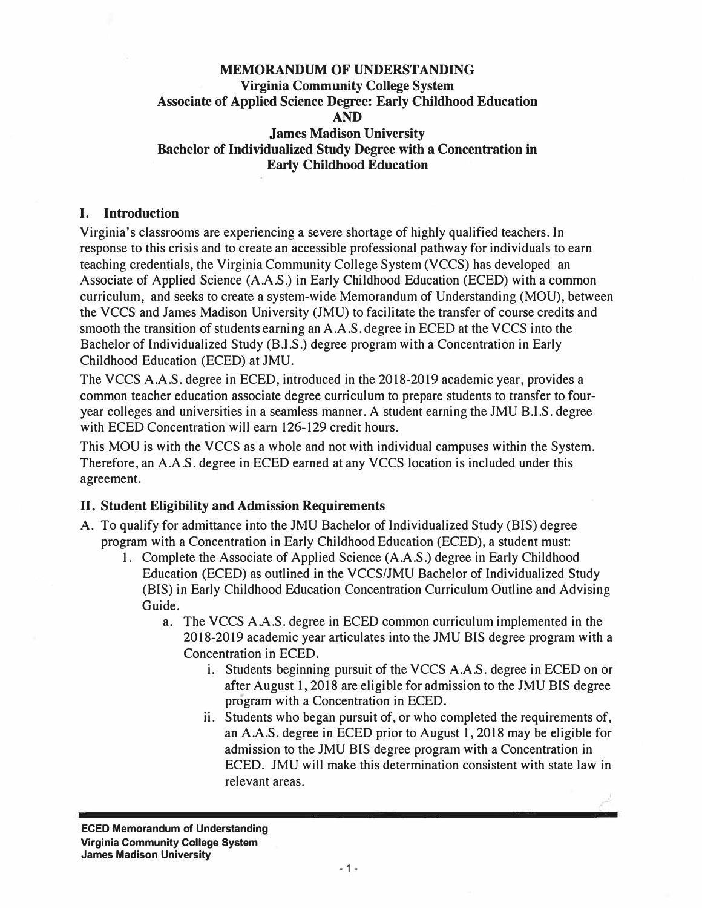## **MEMORANDUM OF UNDERSTANDING Virginia Community College System Associate of Applied Science Degree: Early Childhood Education AND James Madison University Bachelor of Individualized Study Degree with a Concentration in Early Childhood Education**

#### **I. Introduction**

Virginia's classrooms are experiencing a severe shortage of highly qualified teachers. In response to this crisis and to create an accessible professional pathway for individuals to earn teaching credentials, the Virginia Community College System (VCCS) has developed an Associate of Applied Science (A.A.S.) in Early Childhood Education (ECED) with a common curriculum, and seeks to create a system-wide Memorandum of Understanding (MOU), between the VCCS and James Madison University (JMU) to facilitate the transfer of course credits and smooth the transition of students earning an A.A.S. degree in ECED at the VCCS into the Bachelor of Individualized Study (B.I.S.) degree program with a Concentration in Early Childhood Education (ECED) at JMU.

The VCCS A.A.S. degree in ECED, introduced in the 2018-2019 academic year, provides a common teacher education associate degree curriculum to prepare students to transfer to fouryear colleges and universities in a seamless manner. A student earning the JMU B.I.S. degree with ECED Concentration will earn 126-129 credit hours.

This MOU is with the VCCS as a whole and not with individual campuses within the System. Therefore, an A.A.S. degree in ECED earned at any VCCS location is included under this agreement.

#### **II. Student Eligibility and Admission Requirements**

- A. To qualify for admittance into the JMU Bachelor of Individualized Study (BIS) degree program with a Concentration in Early Childhood Education (ECED), a student must:
	- 1. Complete the Associate of Applied Science (A.A.S.) degree in Early Childhood Education (ECED) as outlined in the VCCS/JMU Bachelor of Individualized Study (BIS) in Early Childhood Education Concentration Curriculum Outline and Advising Guide.
		- a. The VCCS A.A.S. degree in ECED common curriculum implemented in the 2018-2019 academic year articulates into the JMU BIS degree program with a Concentration in ECED.
			- i. Students beginning pursuit of the VCCS A.A.S. degree in ECED on or after August 1, 2018 are eligible for admission to the JMU BIS degree program with a Concentration in ECED.
			- ii. Students who began pursuit of, or who completed the requirements of, an A.A.S. degree in ECED prior to August 1, 2018 may be eligible for admission to the JMU BIS degree program with a Concentration in ECED. JMU will make this determination consistent with state law in relevant areas.

**ECED Memorandum of Understanding Virginia Community College System James Madison University**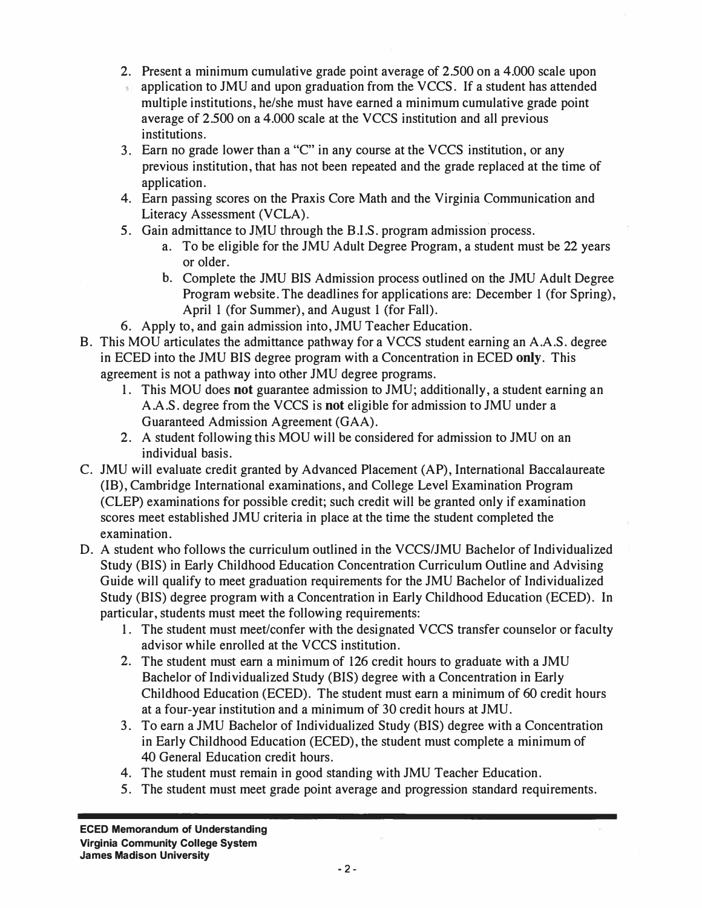- 2. Present a minimum cumulative grade point average of 2.500 on a 4.000 scale upon
- application to JMU and upon graduation from the VCCS. If a student has attended multiple institutions, he/she must have earned a minimum cumulative grade point average of 2.500 on a 4.000 scale at the VCCS institution and all previous institutions.
- 3. Earn no grade lower than a "C" in any course at the VCCS institution, or any previous institution, that has not been repeated and the grade replaced at the time of application.
- 4. Earn passing scores on the Praxis Core Math and the Virginia Communication and Literacy Assessment (VCLA).
- 5. Gain admittance to JMU through the B.I.S. program admission process.
	- a. To be eligible for the JMU Adult Degree Program, a student must be 22 years or older.
	- b. Complete the JMU BIS Admission process outlined on the JMU Adult Degree Program website. The deadlines for applications are: December 1 (for Spring), April 1 (for Summer), and August 1 (for Fall).
- 6. Apply to, and gain admission into, JMU Teacher Education.
- B. This MOU articulates the admittance pathway for a VCCS student earning an A.A.S. degree in ECED into the JMU BIS degree program with a Concentration in ECED **only.** This agreement is not a pathway into other JMU degree programs.
	- 1. This MOU does **not** guarantee admission to JMU; additionally, a student earning an A.A.S. degree from the VCCS is **not** eligible for admission to JMU under a Guaranteed Admission Agreement (GAA).
	- 2. A student following this MOU will be considered for admission to JMU on an individual basis.
- C. JMU will evaluate credit granted by Advanced Placement (AP), International Baccalaureate (IB), Cambridge International examinations, and College Level Examination Program (CLEP) examinations for possible credit; such credit will be granted only if examination scores meet established JMU criteria in place at the time the student completed the examination.
- D. A student who follows the curriculum outlined in the VCCS/JMU Bachelor of Individualized Study (BIS) in Early Childhood Education Concentration Curriculum Outline and Advising Guide will qualify to meet graduation requirements for the JMU Bachelor of Individualized Study (BIS) degree program with a Concentration in Early Childhood Education (ECED). In particular, students must meet the following requirements:
	- 1. The student must meet/confer with the designated VCCS transfer counselor or faculty advisor while enrolled at the VCCS institution.
	- 2. The student must earn a minimum of 126 credit hours to graduate with a JMU Bachelor of Individualized Study (BIS) degree with a Concentration in Early Childhood Education (ECED). The student must earn a minimum of 60 credit hours at a four-year institution and a minimum of 30 credit hours at JMU.
	- 3. To earn a JMU Bachelor of Individualized Study (BIS) degree with a Concentration in Early Childhood Education (ECED), the student must complete a minimum of 40 General Education credit hours.
	- 4. The student must remain in good standing with JMU Teacher Education.
	- 5. The student must meet grade point average and progression standard requirements.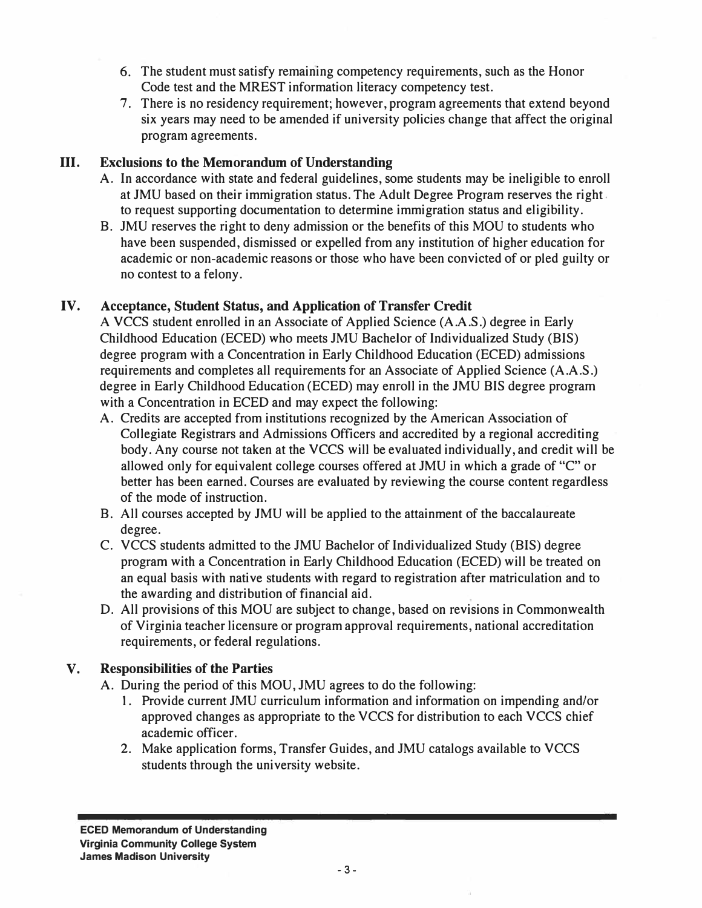- 6. The student must satisfy remaining competency requirements, such as the Honor Code test and the MREST information literacy competency test.
- 7. There is no residency requirement; however, program agreements that extend beyond six years may need to be amended if university policies change that affect the original program agreements.

# **III. Exclusions to the Memorandum of Understanding**

- A. In accordance with state and federal guidelines, some students may be ineligible to enroll at JMU based on their immigration status. The Adult Degree Program reserves the right. to request supporting documentation to determine immigration status and eligibility.
- B. JMU reserves the right to deny admission or the benefits of this MOU to students who have been suspended, dismissed or expelled from any institution of higher education for academic or non-academic reasons or those who have been convicted of or pied guilty or no contest to a felony.

# **IV. Acceptance, Student Status, and Application of Transfer Credit**

A VCCS student enrolled in an Associate of Applied Science (A.A.S.) degree in Early Childhood Education (ECED) who meets JMU Bachelor of Individualized Study (BIS) degree program with a Concentration in Early Childhood Education (ECED) admissions requirements and completes all requirements for an Associate of Applied Science (A.A.S.) degree in Early Childhood Education (ECED) may enroll in the JMU BIS degree program with a Concentration in ECED and may expect the following:

- A. Credits are accepted from institutions recognized by the American Association of Collegiate Registrars and Admissions Officers and accredited by a regional accrediting body. Any course not taken at the VCCS will be evaluated individually, and credit will be allowed only for equivalent college courses offered at JMU in which a grade of "C" or better has been earned. Courses are evaluated by reviewing the course content regardless of the mode of instruction.
- B. All courses accepted by JMU will be applied to the attainment of the baccalaureate degree.
- C. VCCS students admitted to the JMU Bachelor of Individualized Study (BIS) degree program with a Concentration in Early Childhood Education (ECED) will be treated on an equal basis with native students with regard to registration after matriculation and to the awarding and distribution of financial aid.
- D. All provisions of this MOU are subject to change, based on revisions in Commonwealth of Virginia teacher licensure or program approval requirements, national accreditation requirements, or federal regulations.

# **V. Responsibilities of the Parties**

A. During the period of this MOU, JMU agrees to do the following:

- I. Provide current JMU curriculum information and information on impending and/or approved changes as appropriate to the VCCS for distribution to each VCCS chief academic officer.
- 2. Make application forms, Transfer Guides, and JMU catalogs available to VCCS students through the university website.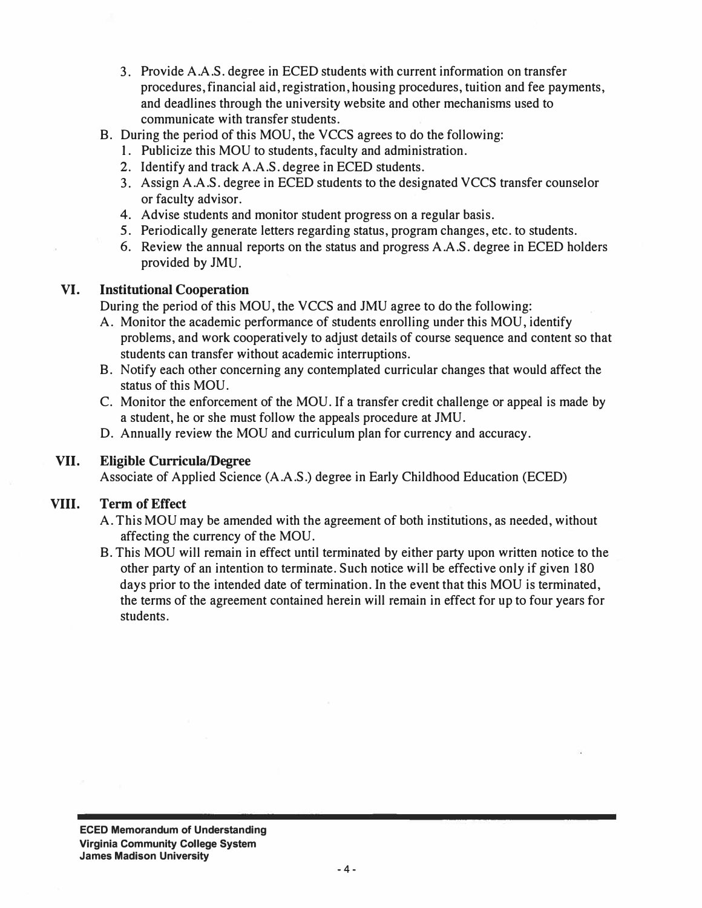- 3. Provide A.A.S. degree in ECED students with current information on transfer procedures, financial aid, registration, housing procedures, tuition and fee payments, and deadlines through the university website and other mechanisms used to communicate with transfer students.
- B. During the period of this MOU, the VCCS agrees to do the following:
	- I. Publicize this MOU to students, faculty and administration.
	- 2. Identify and track A.A.S. degree in ECED students.
	- 3. Assign A.A.S. degree in ECED students to the designated VCCS transfer counselor or faculty advisor.
	- 4. Advise students and monitor student progress on a regular basis.
	- 5. Periodically generate letters regarding status, program changes, etc. to students.
	- 6. Review the annual reports on the status and progress A.A.S. degree in ECED holders provided by JMU.

## **VI. Institutional Cooperation**

During the period of this MOU, the VCCS and JMU agree to do the following:

- A. Monitor the academic performance of students enrolling under this MOU, identify problems, and work cooperatively to adjust details of course sequence and content so that students can transfer without academic interruptions.
- B. Notify each other concerning any contemplated curricular changes that would affect the status of this MOU.
- C. Monitor the enforcement of the MOU. If a transfer credit challenge or appeal is made by a student, he or she must follow the appeals procedure at JMU.
- D. Annually review the MOU and curriculum plan for currency and accuracy.

# **VII. Eligible Curricula/Degree**

Associate of Applied Science (A.A.S.) degree in Early Childhood Education (ECED)

#### **VIII. Term of Effect**

- A. This MOU may be amended with the agreement of both institutions, as needed, without affecting the currency of the MOU.
- B. This MOU will remain in effect until terminated by either party upon written notice to the other party of an intention to terminate. Such notice will be effective only if given 180 days prior to the intended date of termination. In the event that this MOU is terminated, the terms of the agreement contained herein will remain in effect for up to four years for students.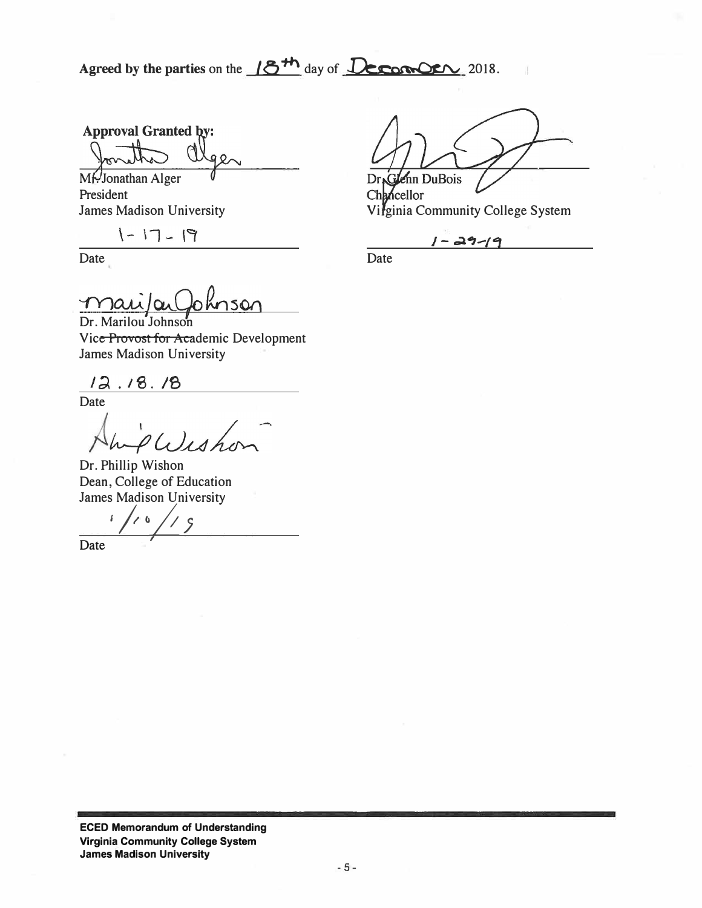Agreed by the parties on the  $/6$ <sup>th</sup> day of **Jecomory** 2018.

**Approval Granted by:** 

Mr. Jonathan Alger President

 $1 - 17 - 19$ 

Date Date Date

Dr.Glenn DuBois

Chancellor James Madison University **Vifginia Community College System** 

 $1 - 29 - 19$ 

<u>Mai/au</u> Johnson<br>Dr. Marilou Johnson

Vice Provost for Academic Development James Madison University

 $12.18.18$ 

Date<br>AmpWeb

Dr. Phillip Wishon Dean, College of Education James Madison University

*<u>Date</u>*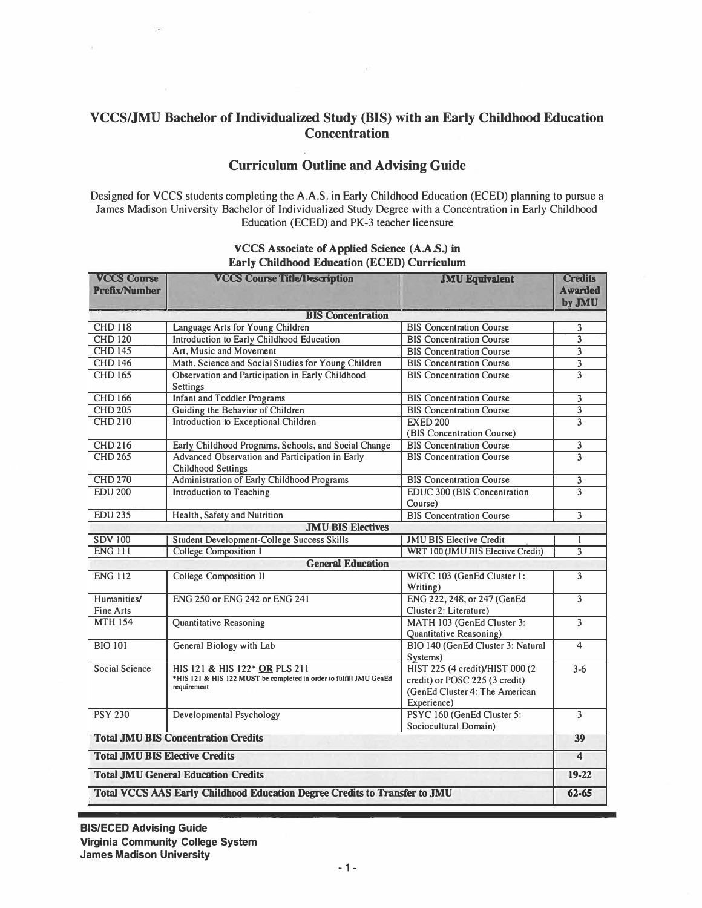# **VCCS/JMU Bachelor of Individualized Study (BIS) with an Early Childhood Education Concentration**

## **Curriculum Outline and Advising Guide**

Designed for VCCS students completing the A.A.S. in Early Childhood Education (ECED) planning to pursue a James Madison University Bachelor of Individualized Study Degree with a Concentration in Early Childhood Education (ECED) and PK-3 teacher licensure

| <b>VCCS Course</b><br><b>Prefix/Number</b>                                        | <b>VCCS Course Title/Description</b>                                                                               | <b>JMU Equivalent</b>                                                                                              | <b>Credits</b><br><b>Awarded</b><br>by JMU |  |  |  |
|-----------------------------------------------------------------------------------|--------------------------------------------------------------------------------------------------------------------|--------------------------------------------------------------------------------------------------------------------|--------------------------------------------|--|--|--|
| <b>BIS Concentration</b>                                                          |                                                                                                                    |                                                                                                                    |                                            |  |  |  |
| <b>CHD 118</b>                                                                    | Language Arts for Young Children                                                                                   | <b>BIS Concentration Course</b>                                                                                    | 3                                          |  |  |  |
| <b>CHD 120</b>                                                                    | Introduction to Early Childhood Education                                                                          | <b>BIS Concentration Course</b>                                                                                    | $\overline{\mathbf{3}}$                    |  |  |  |
| <b>CHD 145</b>                                                                    | Art, Music and Movement                                                                                            | <b>BIS Concentration Course</b>                                                                                    | $\overline{3}$                             |  |  |  |
| <b>CHD 146</b>                                                                    | Math, Science and Social Studies for Young Children                                                                | <b>BIS Concentration Course</b>                                                                                    | $\overline{\overline{3}}$                  |  |  |  |
| <b>CHD 165</b>                                                                    | Observation and Participation in Early Childhood<br>Settings                                                       | <b>BIS Concentration Course</b>                                                                                    | $\overline{\mathbf{3}}$                    |  |  |  |
| <b>CHD 166</b>                                                                    | <b>Infant and Toddler Programs</b>                                                                                 | <b>BIS Concentration Course</b>                                                                                    | 3                                          |  |  |  |
| <b>CHD 205</b>                                                                    | Guiding the Behavior of Children                                                                                   | <b>BIS Concentration Course</b>                                                                                    | $\overline{\mathbf{3}}$                    |  |  |  |
| <b>CHD 210</b>                                                                    | Introduction to Exceptional Children                                                                               | <b>EXED 200</b><br>(BIS Concentration Course)                                                                      | 3                                          |  |  |  |
| <b>CHD 216</b>                                                                    | Early Childhood Programs, Schools, and Social Change                                                               | <b>BIS Concentration Course</b>                                                                                    | 3                                          |  |  |  |
| <b>CHD 265</b>                                                                    | Advanced Observation and Participation in Early<br><b>Childhood Settings</b>                                       | <b>BIS Concentration Course</b>                                                                                    | $\overline{\mathbf{3}}$                    |  |  |  |
| <b>CHD 270</b>                                                                    | Administration of Early Childhood Programs                                                                         | <b>BIS Concentration Course</b>                                                                                    | 3                                          |  |  |  |
| <b>EDU 200</b>                                                                    | <b>Introduction to Teaching</b>                                                                                    | <b>EDUC 300 (BIS Concentration</b><br>Course)                                                                      | 3                                          |  |  |  |
| <b>EDU 235</b>                                                                    | Health, Safety and Nutrition                                                                                       | <b>BIS Concentration Course</b>                                                                                    | $\overline{3}$                             |  |  |  |
|                                                                                   | <b>JMU BIS Electives</b>                                                                                           |                                                                                                                    |                                            |  |  |  |
| <b>SDV 100</b>                                                                    | <b>Student Development-College Success Skills</b>                                                                  | <b>JMU BIS Elective Credit</b>                                                                                     | 1                                          |  |  |  |
| <b>ENG 111</b>                                                                    | <b>College Composition I</b>                                                                                       | WRT 100 (JMU BIS Elective Credit)                                                                                  | $\overline{3}$                             |  |  |  |
| <b>General Education</b>                                                          |                                                                                                                    |                                                                                                                    |                                            |  |  |  |
| <b>ENG 112</b>                                                                    | <b>College Composition II</b>                                                                                      | WRTC 103 (GenEd Cluster I:<br>Writing)                                                                             | 3                                          |  |  |  |
| Humanities/<br>Fine Arts                                                          | ENG 250 or ENG 242 or ENG 241                                                                                      | ENG 222, 248, or 247 (GenEd)<br>Cluster 2: Literature)                                                             | $\overline{3}$                             |  |  |  |
| <b>MTH 154</b>                                                                    | Quantitative Reasoning                                                                                             | MATH 103 (GenEd Cluster 3:<br>Quantitative Reasoning)                                                              | $\overline{3}$                             |  |  |  |
| <b>BIO 101</b>                                                                    | General Biology with Lab                                                                                           | BIO 140 (GenEd Cluster 3: Natural<br>Systems)                                                                      | $\overline{\mathbf{4}}$                    |  |  |  |
| Social Science                                                                    | HIS 121 & HIS 122* OR PLS 211<br>*HIS 121 & HIS 122 MUST be completed in order to fulfill JMU GenEd<br>requirement | HIST 225 (4 credit)/HIST 000 (2<br>credit) or POSC 225 (3 credit)<br>(GenEd Cluster 4: The American<br>Experience) | $3 - 6$                                    |  |  |  |
| <b>PSY 230</b>                                                                    | <b>Developmental Psychology</b>                                                                                    | PSYC 160 (GenEd Cluster 5:<br>Sociocultural Domain)                                                                | 3                                          |  |  |  |
| <b>Total JMU BIS Concentration Credits</b>                                        |                                                                                                                    |                                                                                                                    |                                            |  |  |  |
| <b>Total JMU BIS Elective Credits</b>                                             |                                                                                                                    |                                                                                                                    |                                            |  |  |  |
| <b>Total JMU General Education Credits</b>                                        |                                                                                                                    |                                                                                                                    |                                            |  |  |  |
| <b>Total VCCS AAS Early Childhood Education Degree Credits to Transfer to JMU</b> |                                                                                                                    |                                                                                                                    |                                            |  |  |  |

#### *VCCS Associate of Applied Science (A.AS.) in Early Childhood Education (ECED) Curriculum*

**81S/ECED Advising Guide Virginia Community College System James Madison University**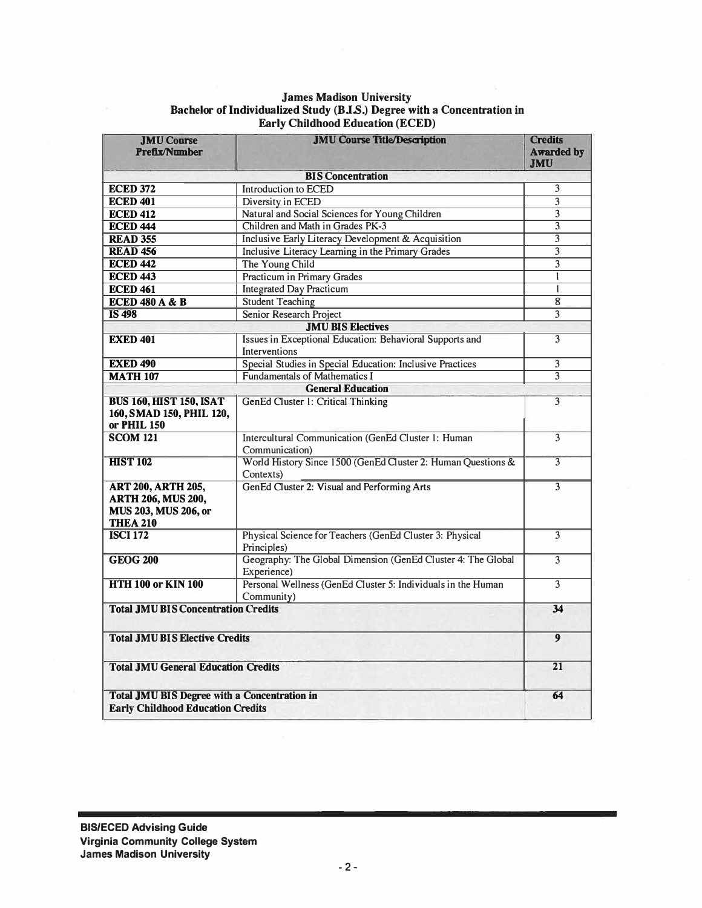#### *James Madison University Bachelor of Individualized Study (BJ.S.) Degree with a Concentration in Early Childhood Education (ECED)*

| <b>JMU Course</b><br><b>Prefix/Number</b>                                                         | <b>JMU Course Title/Description</b>                                         | <b>Credits</b><br><b>Awarded by</b><br><b>JMU</b> |
|---------------------------------------------------------------------------------------------------|-----------------------------------------------------------------------------|---------------------------------------------------|
|                                                                                                   | <b>BIS Concentration</b>                                                    |                                                   |
| <b>ECED 372</b>                                                                                   | <b>Introduction to ECED</b>                                                 | 3                                                 |
| <b>ECED 401</b>                                                                                   | Diversity in ECED                                                           | $\overline{3}$                                    |
| <b>ECED 412</b>                                                                                   | Natural and Social Sciences for Young Children                              | $\overline{\overline{3}}$                         |
| <b>ECED 444</b>                                                                                   | Children and Math in Grades PK-3                                            | $\overline{3}$                                    |
| <b>READ 355</b>                                                                                   | Inclusive Early Literacy Development & Acquisition                          | 3                                                 |
| <b>READ 456</b>                                                                                   | Inclusive Literacy Learning in the Primary Grades                           | $\overline{\mathbf{3}}$                           |
| <b>ECED 442</b>                                                                                   | The Young Child                                                             | $\overline{3}$                                    |
| <b>ECED 443</b>                                                                                   | <b>Practicum in Primary Grades</b>                                          | $\mathbf{1}$                                      |
| <b>ECED 461</b>                                                                                   | <b>Integrated Day Practicum</b>                                             | $\mathbf{1}$                                      |
| <b>ECED 480 A &amp; B</b>                                                                         | <b>Student Teaching</b>                                                     | 8                                                 |
| <b>IS 498</b>                                                                                     | Senior Research Project                                                     | 3                                                 |
|                                                                                                   | <b>JMU BIS Electives</b>                                                    |                                                   |
| <b>EXED 401</b>                                                                                   | Issues in Exceptional Education: Behavioral Supports and                    | 3                                                 |
|                                                                                                   | <b>Interventions</b>                                                        |                                                   |
| <b>EXED 490</b>                                                                                   | Special Studies in Special Education: Inclusive Practices                   | 3                                                 |
| <b>MATH 107</b>                                                                                   | <b>Fundamentals of Mathematics I</b>                                        | 3                                                 |
|                                                                                                   | <b>General Education</b>                                                    |                                                   |
|                                                                                                   |                                                                             | 3                                                 |
| <b>BUS 160, HIST 150, ISAT</b><br>160, SMAD 150, PHIL 120,<br>or PHIL 150                         | GenEd Cluster 1: Critical Thinking                                          |                                                   |
| $SCOM$ 121                                                                                        | Intercultural Communication (GenEd Cluster 1: Human<br>Communication)       | 3                                                 |
| <b>HIST 102</b>                                                                                   | World History Since 1500 (GenEd Cluster 2: Human Questions &<br>Contexts)   | 3                                                 |
| <b>ART 200, ARTH 205,</b><br><b>ARTH 206, MUS 200,</b><br>MUS 203, MUS 206, or<br><b>THEA 210</b> | GenEd Cluster 2: Visual and Performing Arts                                 | 3                                                 |
| <b>ISCI 172</b>                                                                                   | Physical Science for Teachers (GenEd Cluster 3: Physical<br>Principles)     | 3                                                 |
| <b>GEOG 200</b>                                                                                   | Geography: The Global Dimension (GenEd Cluster 4: The Global<br>Experience) | 3                                                 |
| <b>HTH 100 or KIN 100</b>                                                                         | Personal Wellness (GenEd Cluster 5: Individuals in the Human<br>Community)  | 3                                                 |
| <b>Total JMU BIS Concentration Credits</b>                                                        |                                                                             | 34                                                |
| <b>Total JMU BIS Elective Credits</b>                                                             |                                                                             |                                                   |
| <b>Total JMU General Education Credits</b>                                                        |                                                                             |                                                   |
| <b>Total JMU BIS Degree with a Concentration in</b><br><b>Early Childhood Education Credits</b>   |                                                                             | 64                                                |